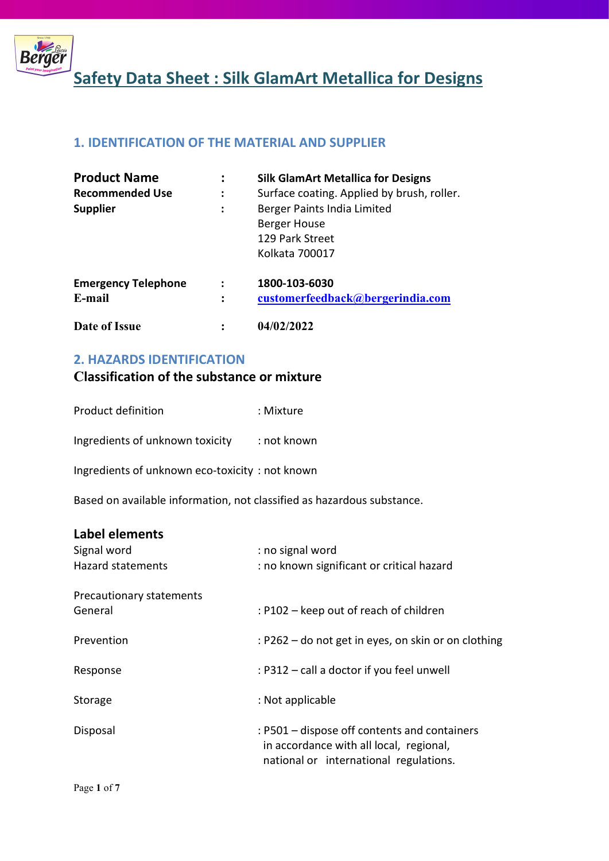

## 1. IDENTIFICATION OF THE MATERIAL AND SUPPLIER

| <b>Product Name</b>        |                | <b>Silk GlamArt Metallica for Designs</b>                                        |
|----------------------------|----------------|----------------------------------------------------------------------------------|
| <b>Recommended Use</b>     |                | Surface coating. Applied by brush, roller.                                       |
| <b>Supplier</b>            | :              | Berger Paints India Limited<br>Berger House<br>129 Park Street<br>Kolkata 700017 |
| <b>Emergency Telephone</b> |                | 1800-103-6030                                                                    |
| E-mail                     | $\ddot{\cdot}$ | customerfeedback@bergerindia.com                                                 |
| Date of Issue              |                | 04/02/2022                                                                       |

## 2. HAZARDS IDENTIFICATION

# Classification of the substance or mixture

| Product definition | : Mixture |
|--------------------|-----------|
|                    |           |

Ingredients of unknown toxicity : not known

Ingredients of unknown eco-toxicity : not known

Based on available information, not classified as hazardous substance.

## Label elements

| Signal word<br><b>Hazard statements</b> | : no signal word<br>: no known significant or critical hazard                                                                     |
|-----------------------------------------|-----------------------------------------------------------------------------------------------------------------------------------|
| Precautionary statements<br>General     | : P102 – keep out of reach of children                                                                                            |
| Prevention                              | : P262 – do not get in eyes, on skin or on clothing                                                                               |
| Response                                | : P312 – call a doctor if you feel unwell                                                                                         |
| Storage                                 | : Not applicable                                                                                                                  |
| Disposal                                | : P501 – dispose off contents and containers<br>in accordance with all local, regional,<br>national or international regulations. |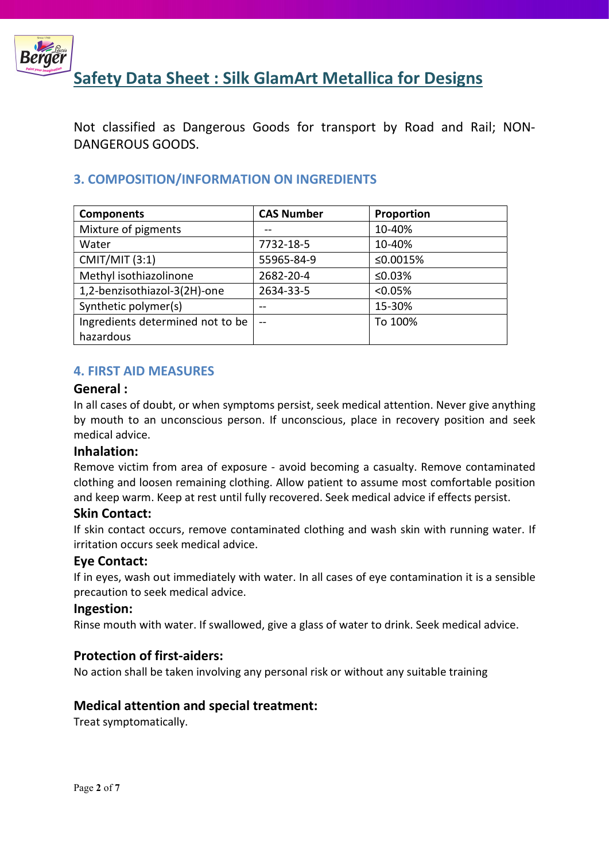

Not classified as Dangerous Goods for transport by Road and Rail; NON-DANGEROUS GOODS.

# 3. COMPOSITION/INFORMATION ON INGREDIENTS

| <b>Components</b>                | <b>CAS Number</b> | Proportion |
|----------------------------------|-------------------|------------|
| Mixture of pigments              |                   | 10-40%     |
| Water                            | 7732-18-5         | 10-40%     |
| <b>CMIT/MIT (3:1)</b>            | 55965-84-9        | ≤0.0015%   |
| Methyl isothiazolinone           | 2682-20-4         | ≤0.03%     |
| 1,2-benzisothiazol-3(2H)-one     | 2634-33-5         | < 0.05%    |
| Synthetic polymer(s)             | --                | 15-30%     |
| Ingredients determined not to be | $-$               | To 100%    |
| hazardous                        |                   |            |

## 4. FIRST AID MEASURES

#### General :

In all cases of doubt, or when symptoms persist, seek medical attention. Never give anything by mouth to an unconscious person. If unconscious, place in recovery position and seek medical advice.

## Inhalation:

Remove victim from area of exposure - avoid becoming a casualty. Remove contaminated clothing and loosen remaining clothing. Allow patient to assume most comfortable position and keep warm. Keep at rest until fully recovered. Seek medical advice if effects persist.

## Skin Contact:

If skin contact occurs, remove contaminated clothing and wash skin with running water. If irritation occurs seek medical advice.

## Eye Contact:

If in eyes, wash out immediately with water. In all cases of eye contamination it is a sensible precaution to seek medical advice.

#### Ingestion:

Rinse mouth with water. If swallowed, give a glass of water to drink. Seek medical advice.

## Protection of first-aiders:

No action shall be taken involving any personal risk or without any suitable training

## Medical attention and special treatment:

Treat symptomatically.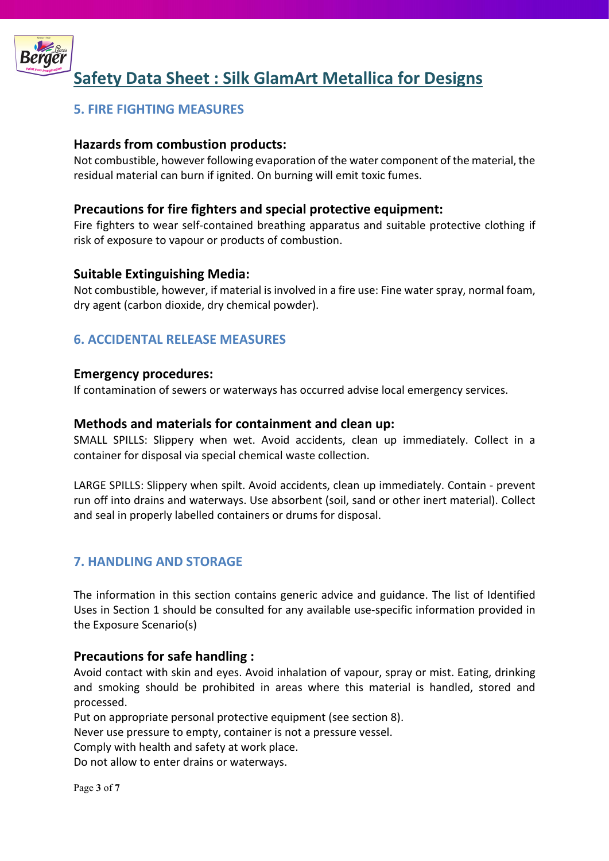

## 5. FIRE FIGHTING MEASURES

## Hazards from combustion products:

Not combustible, however following evaporation of the water component of the material, the residual material can burn if ignited. On burning will emit toxic fumes.

## Precautions for fire fighters and special protective equipment:

Fire fighters to wear self-contained breathing apparatus and suitable protective clothing if risk of exposure to vapour or products of combustion.

## Suitable Extinguishing Media:

Not combustible, however, if material is involved in a fire use: Fine water spray, normal foam, dry agent (carbon dioxide, dry chemical powder).

## 6. ACCIDENTAL RELEASE MEASURES

#### Emergency procedures:

If contamination of sewers or waterways has occurred advise local emergency services.

#### Methods and materials for containment and clean up:

SMALL SPILLS: Slippery when wet. Avoid accidents, clean up immediately. Collect in a container for disposal via special chemical waste collection.

LARGE SPILLS: Slippery when spilt. Avoid accidents, clean up immediately. Contain - prevent run off into drains and waterways. Use absorbent (soil, sand or other inert material). Collect and seal in properly labelled containers or drums for disposal.

## 7. HANDLING AND STORAGE

The information in this section contains generic advice and guidance. The list of Identified Uses in Section 1 should be consulted for any available use-specific information provided in the Exposure Scenario(s)

## Precautions for safe handling :

Avoid contact with skin and eyes. Avoid inhalation of vapour, spray or mist. Eating, drinking and smoking should be prohibited in areas where this material is handled, stored and processed.

Put on appropriate personal protective equipment (see section 8).

Never use pressure to empty, container is not a pressure vessel.

Comply with health and safety at work place.

Do not allow to enter drains or waterways.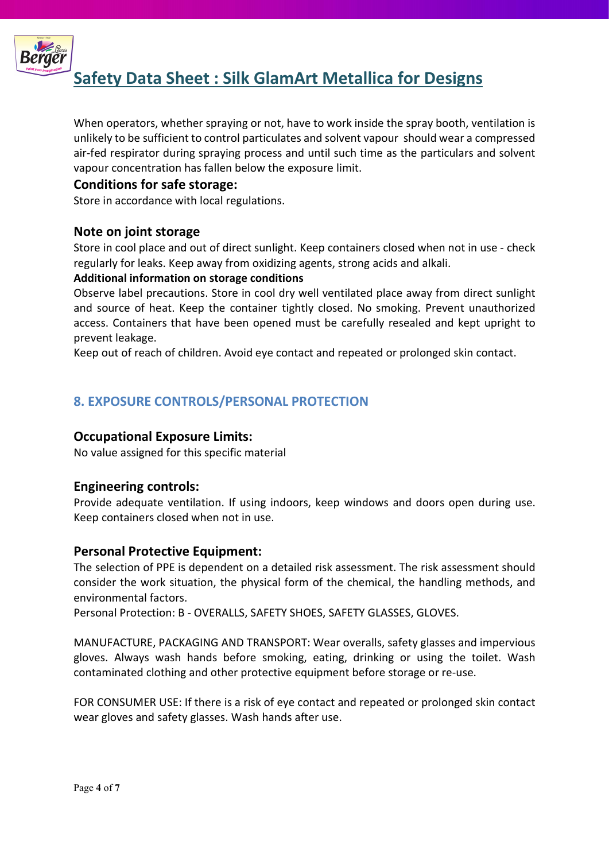

When operators, whether spraying or not, have to work inside the spray booth, ventilation is unlikely to be sufficient to control particulates and solvent vapour should wear a compressed air-fed respirator during spraying process and until such time as the particulars and solvent vapour concentration has fallen below the exposure limit.

## Conditions for safe storage:

Store in accordance with local regulations.

## Note on joint storage

Store in cool place and out of direct sunlight. Keep containers closed when not in use - check regularly for leaks. Keep away from oxidizing agents, strong acids and alkali.

#### Additional information on storage conditions

Observe label precautions. Store in cool dry well ventilated place away from direct sunlight and source of heat. Keep the container tightly closed. No smoking. Prevent unauthorized access. Containers that have been opened must be carefully resealed and kept upright to prevent leakage.

Keep out of reach of children. Avoid eye contact and repeated or prolonged skin contact.

# 8. EXPOSURE CONTROLS/PERSONAL PROTECTION

## Occupational Exposure Limits:

No value assigned for this specific material

## Engineering controls:

Provide adequate ventilation. If using indoors, keep windows and doors open during use. Keep containers closed when not in use.

## Personal Protective Equipment:

The selection of PPE is dependent on a detailed risk assessment. The risk assessment should consider the work situation, the physical form of the chemical, the handling methods, and environmental factors.

Personal Protection: B - OVERALLS, SAFETY SHOES, SAFETY GLASSES, GLOVES.

MANUFACTURE, PACKAGING AND TRANSPORT: Wear overalls, safety glasses and impervious gloves. Always wash hands before smoking, eating, drinking or using the toilet. Wash contaminated clothing and other protective equipment before storage or re-use.

FOR CONSUMER USE: If there is a risk of eye contact and repeated or prolonged skin contact wear gloves and safety glasses. Wash hands after use.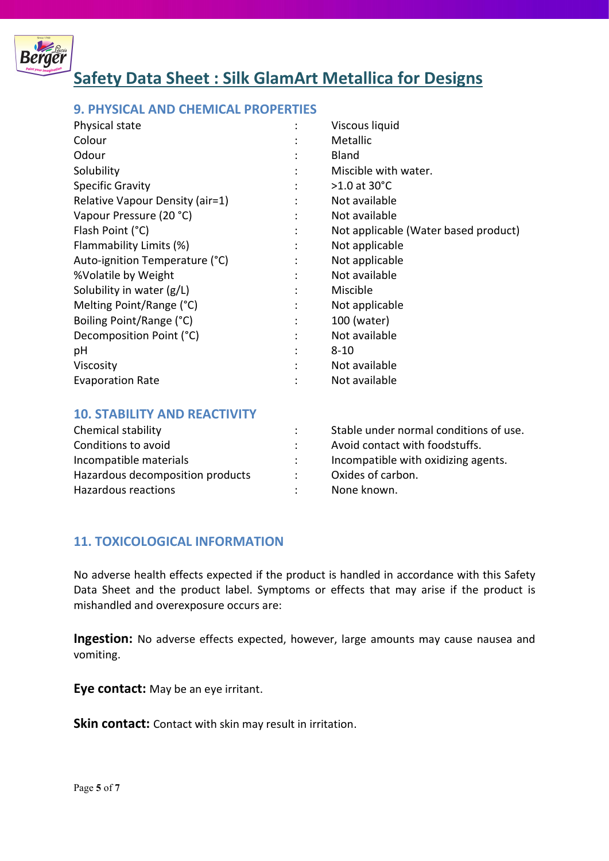

## 9. PHYSICAL AND CHEMICAL PROPERTIES

| Physical state                  |                | Viscous liquid                       |
|---------------------------------|----------------|--------------------------------------|
| Colour                          |                | Metallic                             |
| Odour                           | ٠              | <b>Bland</b>                         |
| Solubility                      | $\bullet$      | Miscible with water.                 |
| <b>Specific Gravity</b>         | $\ddot{\cdot}$ | $>1.0$ at 30 $^{\circ}$ C            |
| Relative Vapour Density (air=1) |                | Not available                        |
| Vapour Pressure (20 °C)         |                | Not available                        |
| Flash Point (°C)                | $\ddot{\cdot}$ | Not applicable (Water based product) |
| Flammability Limits (%)         | ÷              | Not applicable                       |
| Auto-ignition Temperature (°C)  | $\ddot{\cdot}$ | Not applicable                       |
| %Volatile by Weight             | $\ddot{\cdot}$ | Not available                        |
| Solubility in water (g/L)       |                | Miscible                             |
| Melting Point/Range (°C)        |                | Not applicable                       |
| Boiling Point/Range (°C)        | $\ddot{\cdot}$ | 100 (water)                          |
| Decomposition Point (°C)        | $\bullet$      | Not available                        |
| рH                              |                | $8 - 10$                             |
| Viscosity                       |                | Not available                        |
| <b>Evaporation Rate</b>         |                | Not available                        |

#### 10. STABILITY AND REACTIVITY

| Chemical stability               | Stable under normal conditions of use. |
|----------------------------------|----------------------------------------|
| Conditions to avoid              | Avoid contact with foodstuffs.         |
| Incompatible materials           | Incompatible with oxidizing agents.    |
| Hazardous decomposition products | Oxides of carbon.                      |
| Hazardous reactions              | None known.                            |

## 11. TOXICOLOGICAL INFORMATION

No adverse health effects expected if the product is handled in accordance with this Safety Data Sheet and the product label. Symptoms or effects that may arise if the product is mishandled and overexposure occurs are:

Ingestion: No adverse effects expected, however, large amounts may cause nausea and vomiting.

Eye contact: May be an eye irritant.

Skin contact: Contact with skin may result in irritation.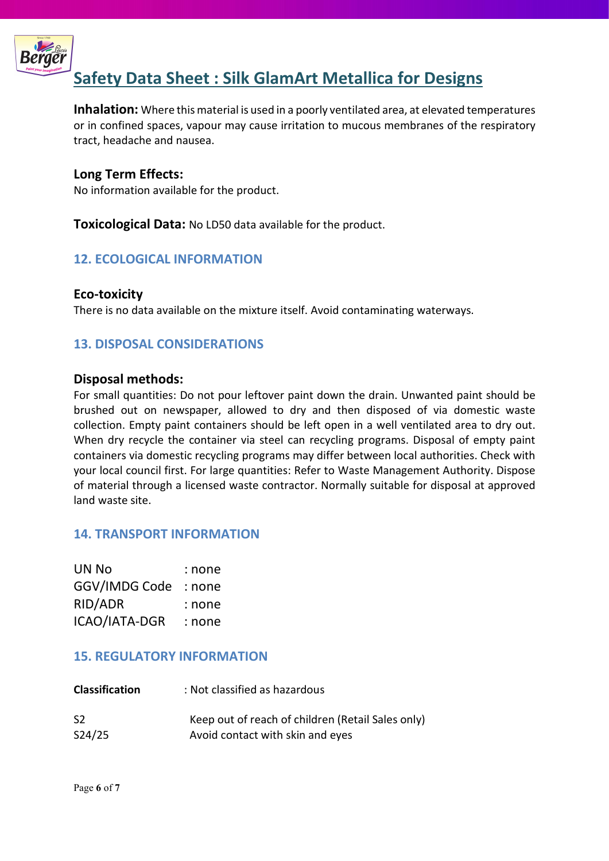

Inhalation: Where this material is used in a poorly ventilated area, at elevated temperatures or in confined spaces, vapour may cause irritation to mucous membranes of the respiratory tract, headache and nausea.

## Long Term Effects:

No information available for the product.

**Toxicological Data:** No LD50 data available for the product.

## 12. ECOLOGICAL INFORMATION

## Eco-toxicity

There is no data available on the mixture itself. Avoid contaminating waterways.

## 13. DISPOSAL CONSIDERATIONS

#### Disposal methods:

For small quantities: Do not pour leftover paint down the drain. Unwanted paint should be brushed out on newspaper, allowed to dry and then disposed of via domestic waste collection. Empty paint containers should be left open in a well ventilated area to dry out. When dry recycle the container via steel can recycling programs. Disposal of empty paint containers via domestic recycling programs may differ between local authorities. Check with your local council first. For large quantities: Refer to Waste Management Authority. Dispose of material through a licensed waste contractor. Normally suitable for disposal at approved land waste site.

## 14. TRANSPORT INFORMATION

| UN No         | : none |
|---------------|--------|
| GGV/IMDG Code | : none |
| RID/ADR       | : none |
| ICAO/IATA-DGR | : none |

## 15. REGULATORY INFORMATION

| <b>Classification</b> | : Not classified as hazardous                     |
|-----------------------|---------------------------------------------------|
| S <sub>2</sub>        | Keep out of reach of children (Retail Sales only) |
| S24/25                | Avoid contact with skin and eyes                  |